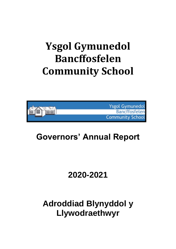# **Ysgol Gymunedol Bancffosfelen Community School**



## **Governors' Annual Report**

## **2020-2021**

## **Adroddiad Blynyddol y Llywodraethwyr**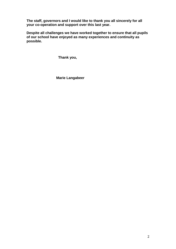**The staff, governors and I would like to thank you all sincerely for all your co-operation and support over this last year.**

**Despite all challenges we have worked together to ensure that all pupils of our school have enjoyed as many experiences and continuity as possible.**

 **Thank you,**

 **Marie Langabeer**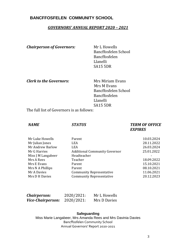### **BANCFFOSFELEN COMMUNITY SCHOOL**

#### *GOVERNORS' ANNUAL REPORT 2020 – 2021*

*Chairperson of Governors:* Mr L Howells

Bancffosfelen School Bancffosfelen Llanelli SA15 5DR

*Clerk to the Governors:* Mrs Miriam Evans

 Mrs M Evans Bancffosfelen School Bancffosfelen Llanelli SA15 5DR

The full list of Governors is as follows:

### *NAME STATUS TERM OF OFFICE EXPIRES*

| Parent                               | 10.03.2024 |
|--------------------------------------|------------|
| LEA                                  | 28.11.2022 |
| <b>LEA</b>                           | 26.03.2024 |
| <b>Additional Community Governor</b> | 25.01.2022 |
| Headteacher                          |            |
| Teacher                              | 18.09.2022 |
| Parent                               | 15.10.2021 |
| Parent                               | 08.10.2021 |
| <b>Community Representative</b>      | 11.06.2021 |
| <b>Community Representative</b>      | 20.12.2023 |
|                                      |            |

| Chairperson:             | 2020/2021: | Mr L Howells |
|--------------------------|------------|--------------|
| <b>Vice-Chairperson:</b> | 2020/2021: | Mrs D Davies |

#### **Safeguarding**

Miss Marie Langabeer, Mrs Amanda Rees and Mrs Davinia Davies Bancffosfelen Community School Annual Governors' Report 2020-2021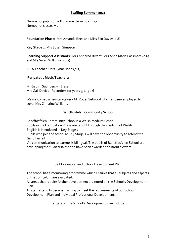#### **Staffing Summer 2021**

Number of pupils on roll Summer term 2021 = 51 Number of classes = 2

**Foundation Phase:** Mrs Amanda Rees and Miss Elin Davies(0.8)

**Key Stage 2:** Mrs Susan Simpson

**Learning Support Assistants:** Mrs Anharad Bryant, Mrs Anne Marie Passmore (0.6) and Mrs Sarah Wilkinson (0.2)

**PPA Teacher :** Mrs Lynne Jones(0.2)

#### **Peripatetic Music Teachers:**

Mr Gethin Saunders – Brass Mrs Gail Davies - Recorders for years 3, 4, 5 a 6

We welcomed a new caretaker - Mr Roger Selwood who has been employed to cover Mrs Christine Williams

#### **Bancffosfelen Community School**

Bancffosfelen Community School is a Welsh medium School.

Pupils in the Foundation Phase are taught through the medium of Welsh. English is introduced in Key Stage 2.

Pupils who join the school at Key Stage 2 will have the opportunity to attend the Ganolfan Iaith.

All communication to parents is bilingual. The pupils of Bancffosfelen School are developing the "Siarter Iaith" and have been awarded the Bronze Award.

#### Self Evaluation and School Development Plan

The school has a monitoring programme which ensures that all subjects and aspects of the curriculum are evaluated.

All areas that require further development are noted on the School's Development Plan.

All staff attend In Service Training to meet the requirements of our School Development Plan and Individual Professional Development.

Targets on the School's Development Plan include: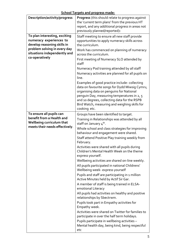| Description/activity/progress                                                                                                                                             | <b>Progress</b> (this should relate to progress against<br>the 'current term plans' from the previous HT<br>report, and any additional progress in areas not<br>previously planned/reported):                                                                                                                                                                                                                                                                                                                                                                                                                                                                                                                                                                                                                                                                                                                                                                                                                                                                                           |
|---------------------------------------------------------------------------------------------------------------------------------------------------------------------------|-----------------------------------------------------------------------------------------------------------------------------------------------------------------------------------------------------------------------------------------------------------------------------------------------------------------------------------------------------------------------------------------------------------------------------------------------------------------------------------------------------------------------------------------------------------------------------------------------------------------------------------------------------------------------------------------------------------------------------------------------------------------------------------------------------------------------------------------------------------------------------------------------------------------------------------------------------------------------------------------------------------------------------------------------------------------------------------------|
| To plan interesting, exciting<br>numeracy experiences to<br>develop reasoning skills in<br>problem solving in every day<br>situations independently and<br>co-operatively | Staff meeting to ensure all new staff provide<br>opportunities to apply numeracy skills across<br>the curriculum.<br>Work has commenced on planning of numeracy<br>across the curriculum.<br>First meeting of Numeracy SLO attended by<br>staff<br>Numeracy Pod training attended by all staff<br>Numeracy activities are planned for all pupils on<br>line.<br>Examples of good practice include-collecting<br>data on favourite songs for Dydd Miwsig Cymru,<br>organising data on penguins for National<br>penguin Day, measuring temperatures in 2, 5<br>and 10 degrees, collecting data for the RSPB<br>Bird Watch, measuring and weighing skills for<br>cooking etc.                                                                                                                                                                                                                                                                                                                                                                                                              |
| To ensure all pupils can<br>benefit from a Health and<br><b>Wellbeing curriculum that</b><br>meets their needs effectively.                                               | Groups have been identified to target.<br>Training in Relationships was attended by all<br>staff on January 4 <sup>th</sup> .<br>Whole school and class strategies for improving<br>behaviour and engagement were shared.<br>Staff attend Positive Play training weekly from<br>February.<br>Activities were shared with all pupils during<br>Children's Mental Health Week on the theme<br>express yourself.<br>Wellbeing activities are shared on-line weekly.<br>All pupils participated in national Childrens'<br>Wellbeing week- express yourself<br>Pupils and staff are participating in 1 million<br>Active Minutes held by Actif Sir Gar.<br>A member of staff is being trained in ELSA-<br>emotional Literacy<br>All pupils had activities on healthy and positive<br>relationships by Sbectrwm.<br>Pupils took part in Empathy activities for<br>Empathy week.<br>Activities were shared on Twitter for families to<br>participate in over the half term holidays.<br>Pupils participate in wellbeing activities -<br>Mental health day, being kind, being respectful<br>etc |

**School Targets and progress made:**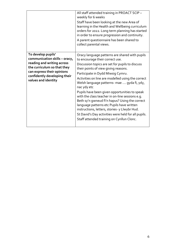|                                                                                                                                                                                                       | All staff attended training in PROACT SCIP -<br>weekly for 6 weeks<br>Staff have been looking at the new Area of<br>learning in the Health and Wellbeing curriculum<br>orders for 2022. Long term planning has started<br>in order to ensure progression and continuity.<br>A parent questionnaire has been shared to<br>collect parental views.                                                                                                                                                                                                                                                                                                                                             |
|-------------------------------------------------------------------------------------------------------------------------------------------------------------------------------------------------------|----------------------------------------------------------------------------------------------------------------------------------------------------------------------------------------------------------------------------------------------------------------------------------------------------------------------------------------------------------------------------------------------------------------------------------------------------------------------------------------------------------------------------------------------------------------------------------------------------------------------------------------------------------------------------------------------|
| To develop pupils'<br>communication skills - oracy,<br>reading and writing across<br>the curriculum so that they<br>can express their opinions<br>confidently developing their<br>values and identity | Oracy language patterns are shared with pupils<br>to encourage their correct use.<br>Discussion topics are set for pupils to discuss<br>their points of view giving reasons.<br>Participate in Dydd Miwsig Cymru.<br>Activities on line are modelled using the correct<br>Welsh language patterns- mae  gyda fi, ydy,<br>nac ydy etc<br>Pupils have been given opportunities to speak<br>with the class teacher in on-line sessions e.g.<br>Beth sy'n gwneud fi'n hapus? Using the correct<br>language patterns etc Pupils have written<br>instructions, letters, stories- y Llwybr Hud.<br>St David's Day activities were held for all pupils.<br>Staff attended training on Cynllun Clonc. |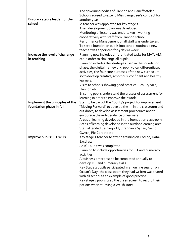| Ensure a stable leader for the<br>school | The governing bodies of Llannon and Bancffosfelen<br>Schools agreed to extend Miss Langabeer's contract for<br>another year<br>A teacher was appointed for key stage 2.<br>A self development plan was developed.<br>Monitoring of lessons was undertaken - working<br>cooperatively with staff from Llannon school<br>Performance Management of all staff was undertaken.<br>To settle foundation pupils into school routines a new<br>teacher was appointed for 4 days a week      |
|------------------------------------------|--------------------------------------------------------------------------------------------------------------------------------------------------------------------------------------------------------------------------------------------------------------------------------------------------------------------------------------------------------------------------------------------------------------------------------------------------------------------------------------|
| Increase the level of challenge          | Planning now includes differentiated tasks for MAT, ALN                                                                                                                                                                                                                                                                                                                                                                                                                              |
| in teaching                              | etc in order to challenge all pupils.<br>Planning includes the strategies used in the foundation<br>phase, the digital framework, pupil voice, differentiated<br>activities, the four core purposes of the new curriculum<br>so to develop creative, ambitious, confident and healthy<br>learners.<br>Visits to schools showing good practice- Bro Brynach,<br>Llannon etc<br>Ensuring pupils understand the prosess of assessment for<br>learning in order to improve their work.   |
| Implement the principles of the          | Staff to be part of the County's project for improvement                                                                                                                                                                                                                                                                                                                                                                                                                             |
| foundation phase in full                 | "Moving Forward" to develop the<br>in the classroom and<br>out doors, to develop assessment procedures and to<br>encourage the independance of learners.<br>Areas of learning developed in the foundation classroom.<br>Areas of learning developed in the outdoor learning area.<br>Staff attended training - Llythrennau a Synau, Geirio<br>Gwych, Pie Corbett etc                                                                                                                 |
| Improve pupils' ICT skills               | Key stage 2 teacher to attend training on Coding, Data-                                                                                                                                                                                                                                                                                                                                                                                                                              |
|                                          | Excel etc<br>An ICT audit was completed<br>Planning to include opportunities for ICT and numeracy<br>activities.<br>A buisness enterprise to be completed annually to<br>develop ICT and numeracy skills.<br>Key Stage 2 pupils participated in an on line session on<br>Ocean's Day-the class poem they had wriiten was shared<br>with all school as an example of good practice<br>Key stage 2 pupils used the green screen to record their<br>potions when studying a Welsh story |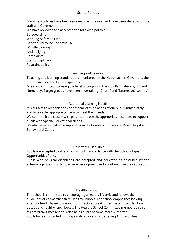#### School Policies

Many new policies have been reviewed over the year and have been shared with the staff and Governors.

We have reviewed and accepted the following policies –

Safeguarding

Working Safely on Line

Behavioural to include covid 19

Whistle blowing

Anti bullying

**Complaints** 

Staff disciplinary

Restraint policy

### Teaching and Learning

Teaching and learning standards are monitored by the Headteacher, Governors, the County Advisor and Estyn inspectors.

We are committed to raising the level of our pupils' Basic Skills in Literacy, ICT and Numeracy. Target groups have been undertaking "Chatt " and "Letters and sounds"

### Additional Learning Needs

It is our aim to recognise any additional learning needs of our pupils immediately, and to take the appropriate steps to meet their needs.

We communicate closely with parents and use the appropriate resources to support pupils with Special Educational Needs.

We also receive invaluable support from the County's Educational Psychologist and Behavioural Centre.

#### Pupils with Disabilities

Pupils are accepted to attend our school in accordance with the School's Equal Opportunities Policy.

Pupils with physical disabilities are accepted and educated as described by the external agencies in order to ensure development and a continuum in their education.

#### **Healthy Schools**

The school is committed to encouraging a healthy lifestyle and follows the guidelines of Carmarthenshire Healthy Schools. The school emphasises looking after our health by encouraging fruit snacks at break times, water in pupils' drink bottles and healthy lunch boxes. The Healthy School Committee members also sell fruit at break times and this also helps pupils become more numerate. Pupils have also started running a mile a day and undertaking Actif activities.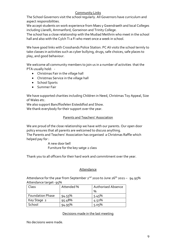#### Community Links

The School Governors visit the school regularly. All Governors have curriculum and aspect responsibilities.

We accept students on work experience from Maes y Gwendraeth and local Colleges including Llanelli, Ammanford, Gorseinon and Trinity College.

The school has a close relationship with the Mudiad Meithrin who meet in the school hall and also with the Cylch Ti a Fi who meet once a week in school.

We have good links with Crosshands Police Station. PC Ali visits the school termly to take classes in activities such as cyber bullying, drugs, safe choices, safe places to play, and good behaviour.

We welcome all community members to join us in a number of activities that the PTA usually hold: -

- Christmas Fair in the village hall
- Christmas Service in the village hall
- School Sports
- **•** Summer Fair

We have supported charities including Children in Need, Christmas Toy Appeal, Size of Wales etc.

We also support Bancffosfelen Eisteddfod and Show.

We thank everybody for their support over the year.

#### Parents and Teachers' Association

We are proud of the close relationship we have with our parents. Our open door policy ensures that all parents are welcomed to discuss anything. The Parents and Teachers' Association has organised a Christmas Raffle which helped pay for :

> A new door bell Furniture for the key satge 2 class

Thank you to all officers for their hard work and commitment over the year.

#### **Attendance**

Attendance for the year from September 2<sup>nd</sup> 2020 to June 26<sup>th</sup> 2021 - 94.95% Attendance target- 95%

| Class                   | Attended % | <b>Authorised Absence</b> |
|-------------------------|------------|---------------------------|
|                         |            | %                         |
| <b>Foundation Phase</b> | 94.55%     | 5.45%                     |
| Key Stage 2             | 95.48%     | 4.52%                     |
| School                  | 94.95%     | 5.05%                     |

#### Decisions made in the last meeting

No decisions were made.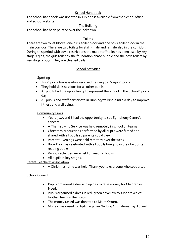#### School Handbook

The school handbook was updated in July and is available from the School office and school website.

### The Building

The school has been painted over the lockdown

#### Toilets

There are two toilet blocks- one girls' toilet block and one boys' toilet block in the main corridor. There are two toilets for staff- male and female also in the corridor. During this period with covid restrictions the male staff toilet has been used by key stage 2 girls, the girls toilet by the foundation phase bubble and the boys toilets by key stage 2 boys. They are cleaned daily.

#### School Activities

#### **Sporting**

- Two Sports Ambassadors received training by Dragon Sports
- They hold skills sessions for all other pupils
- All pupils had the opportunity to represent the school in the School Sports day.
- All pupils and staff participate in running/walking a mile a day to improve fitness and well being.

#### Community Links

- Years 3,4,5 and 6 had the opportunity to see Symphony Cymru's concert
- A Thanksgiving Service was held remotely in school on teams
- Christmas productions performed by all pupils were filmed and shared with all pupils so parents could view
- Parents' Evenings were held remotley over the week.
- Book Day was celebrated with all pupils bringing in their favourite reading books.
- Various activities were held on reading books .
- All pupils in key stage 2

#### Parent Teachers' Association

A Christmas raffle was held. Thank you to everyone who supported.

#### School Council

- Pupils organised a dressing up day to raise money for Children in Need.
- Pupils organised a dress in red, green or yellow to support Wales' football team in the Euros.
- The money rasied was donated to Maint Cymru.
- Money was raised for Apêl Teganau Nadolig / Christmas Toy Appeal.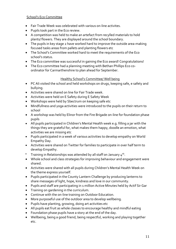#### School's Eco Committee

- Fair Trade Week was celebrated with various on-line activites.
- Pupils took part in the Eco review.
- A competition was held to make an artefact from recylled materials to hold plants/ flowers. They are displayed around the school boundary.
- The pupils in key stage 2 have worked hard to improve the outside area-making focused tasks areas from pallets and planting flowers etc
- The School's Committee worked hard to meet the requirements of the Eco school's status.
- The Eco committee was successful in gaining the Eco award! Congratulations!
- The Eco committee had a planning meeting with Bethan Phillips Eco coordinator for Carmarthenshire to plan ahead for September.

### Healthy School's Committee/ Well being

- PC Ali visited the school and held workshops on drugs, keeping safe, e safety and bullying.
- Activities were shared on line for Fair Trade week.
- Activities were held on E Safety during E Safety Week
- Workshops were held by Sbectrum on keeping safe etc
- Mindfullness and yoga activities were introduced to the pupils on their return to school
- A workshop was held by Elinor from the Fire Brigade on-line for foundation phase pupils
- All pupils participated in Children's Mental Health week e.g. filling a jar with the things they are grateful for, what makes them happy, doodle an emotion, what activities we are missing etc
- Pupils participated in a week of various activities to develop empathy on World Empathy Day.
- Activities were shared on Twitter for families to participate in over half term to develop Empathy.
- $^{\bullet}$  Training in Relationships was attended by all staff on January 4th.
- Whole school and class strategies for improving behaviour and engagement were shared.
- Activities were shared with all pupils during Children's Mental Health Week on the theme express yourself.
- Pupils participated in the County Lantern Challenge by producing lanterns to share messages of light, hope, kindness and love in our community.
- Pupils and staff are participating in 1 million Active Minutes held by Actif Sir Gar
- Training on gardening in the curriculum.
- Continue with the on-line training on Outdoor Education.
- More purposeful use of the outdoor area to develop wellbeing.
- Pupils have planting, growing, doing art activities etc
- All pupils eat fruit as whole classes to encourage healthy and mindful eating
- Foundation phase pupils have a story at the end of the day.
- Wellbeing, being a good friend, being respectful, working and playing together etc.